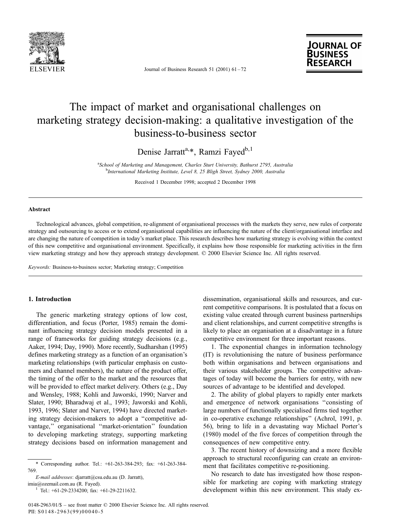

Journal of Business Research 51 (2001)  $61 - 72$ 



## The impact of market and organisational challenges on marketing strategy decision-making: a qualitative investigation of the business-to-business sector

Denise Jarratt<sup>a,\*</sup>, Ramzi Fayed<sup>b,1</sup>

<sup>a</sup> School of Marketing and Management, Charles Sturt University, Bathurst 2795, Australia<br><sup>b</sup>International Marketing Institute Lavel 8, 25 Bligh Street, Sydney 2000, Australia <sup>b</sup>International Marketing Institute, Level 8, 25 Bligh Street, Sydney 2000, Australia

Received 1 December 1998; accepted 2 December 1998

#### Abstract

Technological advances, global competition, re-alignment of organisational processes with the markets they serve, new rules of corporate strategy and outsourcing to access or to extend organisational capabilities are influencing the nature of the client/organisational interface and are changing the nature of competition in today's market place. This research describes how marketing strategy is evolving within the context of this new competitive and organisational environment. Specifically, it explains how those responsible for marketing activities in the firm view marketing strategy and how they approach strategy development. © 2000 Elsevier Science Inc. All rights reserved.

Keywords: Business-to-business sector; Marketing strategy; Competition

### 1. Introduction

The generic marketing strategy options of low cost, differentiation, and focus (Porter, 1985) remain the dominant influencing strategy decision models presented in a range of frameworks for guiding strategy decisions (e.g., Aaker, 1994; Day, 1990). More recently, Sudharshan (1995) defines marketing strategy as a function of an organisation's marketing relationships (with particular emphasis on customers and channel members), the nature of the product offer, the timing of the offer to the market and the resources that will be provided to effect market delivery. Others (e.g., Day and Wensley, 1988; Kohli and Jaworski, 1990; Narver and Slater, 1990; Bharadwaj et al., 1993; Jaworski and Kohli, 1993, 1996; Slater and Narver, 1994) have directed marketing strategy decision-makers to adopt a "competitive advantage," organisational "market-orientation" foundation to developing marketing strategy, supporting marketing strategy decisions based on information management and

E-mail addresses: djarratt@csu.edu.au (D. Jarratt), imia@ozemail.com.au (R. Fayed).<br><sup>1</sup> Tel.: +61-29-2334200; fax: +61-29-2211632.

dissemination, organisational skills and resources, and current competitive comparisons. It is postulated that a focus on existing value created through current business partnerships and client relationships, and current competitive strengths is likely to place an organisation at a disadvantage in a future competitive environment for three important reasons.

1. The exponential changes in information technology (IT) is revolutionising the nature of business performance both within organisations and between organisations and their various stakeholder groups. The competitive advantages of today will become the barriers for entry, with new sources of advantage to be identified and developed.

2. The ability of global players to rapidly enter markets and emergence of network organisations "consisting of large numbers of functionally specialised firms tied together in co-operative exchange relationships'' (Achrol, 1991, p. 56), bring to life in a devastating way Michael Porter's (1980) model of the five forces of competition through the consequences of new competitive entry.

3. The recent history of downsizing and a more flexible approach to structural reconfiguring can create an environment that facilitates competitive re-positioning.

No research to date has investigated how those responsible for marketing are coping with marketing strategy development within this new environment. This study ex-

<sup>\*</sup> Corresponding author. Tel.: +61-263-384-293; fax: +61-263-384- 769.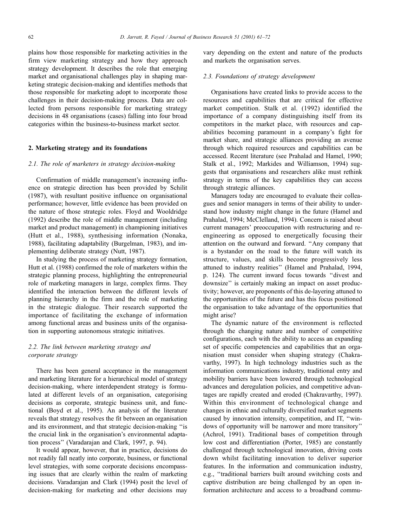plains how those responsible for marketing activities in the firm view marketing strategy and how they approach strategy development. It describes the role that emerging market and organisational challenges play in shaping marketing strategic decision-making and identifies methods that those responsible for marketing adopt to incorporate those challenges in their decision-making process. Data are collected from persons responsible for marketing strategy decisions in 48 organisations (cases) falling into four broad categories within the business-to-business market sector.

## 2. Marketing strategy and its foundations

## 2.1. The role of marketers in strategy decision-making

Confirmation of middle management's increasing influence on strategic direction has been provided by Schilit (1987), with resultant positive influence on organisational performance; however, little evidence has been provided on the nature of those strategic roles. Floyd and Wooldridge (1992) describe the role of middle management (including market and product management) in championing initiatives (Hutt et al., 1988), synthesising information (Nonaka, 1988), facilitating adaptability (Burgelman, 1983), and implementing deliberate strategy (Nutt, 1987).

In studying the process of marketing strategy formation, Hutt et al. (1988) confirmed the role of marketers within the strategic planning process, highlighting the entrepreneurial role of marketing managers in large, complex firms. They identified the interaction between the different levels of planning hierarchy in the firm and the role of marketing in the strategic dialogue. Their research supported the importance of facilitating the exchange of information among functional areas and business units of the organisation in supporting autonomous strategic initiatives.

## 2.2. The link between marketing strategy and corporate strategy

There has been general acceptance in the management and marketing literature for a hierarchical model of strategy decision-making, where interdependent strategy is formulated at different levels of an organisation, categorising decisions as corporate, strategic business unit, and functional (Boyd et al., 1995). An analysis of the literature reveals that strategy resolves the fit between an organisation and its environment, and that strategic decision-making "is the crucial link in the organisation's environmental adaptation process'' (Varadarajan and Clark, 1997, p. 94).

It would appear, however, that in practice, decisions do not readily fall neatly into corporate, business, or functional level strategies, with some corporate decisions encompassing issues that are clearly within the realm of marketing decisions. Varadarajan and Clark (1994) posit the level of decision-making for marketing and other decisions may

vary depending on the extent and nature of the products and markets the organisation serves.

### 2.3. Foundations of strategy development

Organisations have created links to provide access to the resources and capabilities that are critical for effective market competition. Stalk et al. (1992) identified the importance of a company distinguishing itself from its competitors in the market place, with resources and capabilities becoming paramount in a company's fight for market share, and strategic alliances providing an avenue through which required resources and capabilities can be accessed. Recent literature (see Prahalad and Hamel, 1990; Stalk et al., 1992; Markides and Williamson, 1994) suggests that organisations and researchers alike must rethink strategy in terms of the key capabilities they can access through strategic alliances.

Managers today are encouraged to evaluate their colleagues and senior managers in terms of their ability to understand how industry might change in the future (Hamel and Prahalad, 1994; McClelland, 1994). Concern is raised about current managers' preoccupation with restructuring and reengineering as opposed to energetically focusing their attention on the outward and forward. "Any company that is a bystander on the road to the future will watch its structure, values, and skills become progressively less attuned to industry realities'' (Hamel and Prahalad, 1994, p. 124). The current inward focus towards ``divest and downsize'' is certainly making an impact on asset productivity; however, are proponents of this de-layering attuned to the opportunities of the future and has this focus positioned the organisation to take advantage of the opportunities that might arise?

The dynamic nature of the environment is reflected through the changing nature and number of competitive configurations, each with the ability to access an expanding set of specific competencies and capabilities that an organisation must consider when shaping strategy (Chakravarthy, 1997). In high technology industries such as the information communications industry, traditional entry and mobility barriers have been lowered through technological advances and deregulation policies, and competitive advantages are rapidly created and eroded (Chakravarthy, 1997). Within this environment of technological change and changes in ethnic and culturally diversified market segments caused by innovation intensity, competition, and IT, "windows of opportunity will be narrower and more transitory'' (Achrol, 1991). Traditional bases of competition through low cost and differentiation (Porter, 1985) are constantly challenged through technological innovation, driving costs down whilst facilitating innovation to deliver superior features. In the information and communication industry, e.g., "traditional barriers built around switching costs and captive distribution are being challenged by an open information architecture and access to a broadband commu-